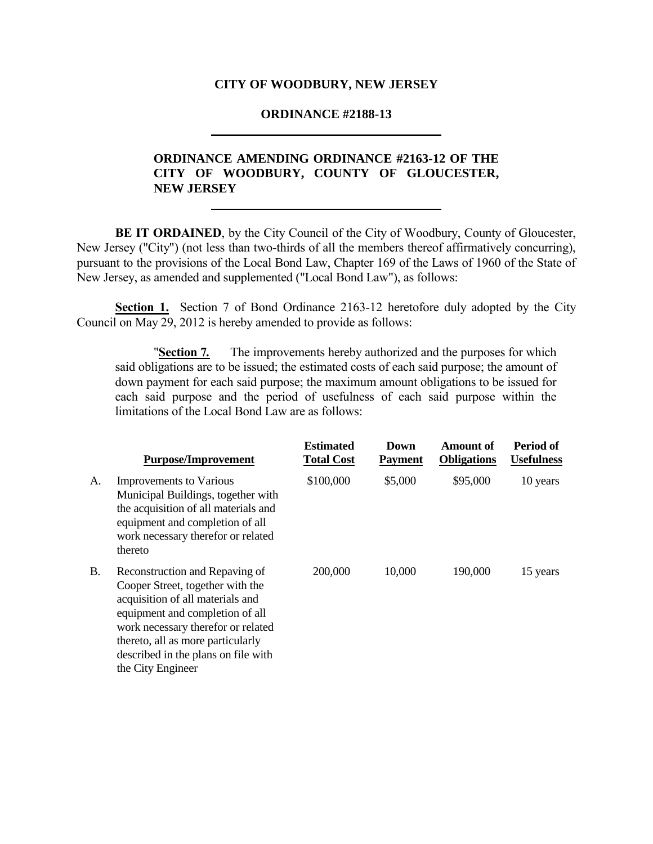#### **CITY OF WOODBURY, NEW JERSEY**

#### **ORDINANCE #2188-13**

# **ORDINANCE AMENDING ORDINANCE #2163-12 OF THE CITY OF WOODBURY, COUNTY OF GLOUCESTER, NEW JERSEY**

**BE IT ORDAINED**, by the City Council of the City of Woodbury, County of Gloucester, New Jersey ("City") (not less than two-thirds of all the members thereof affirmatively concurring), pursuant to the provisions of the Local Bond Law, Chapter 169 of the Laws of 1960 of the State of New Jersey, as amended and supplemented ("Local Bond Law"), as follows:

**Section 1.** Section 7 of Bond Ordinance 2163-12 heretofore duly adopted by the City Council on May 29, 2012 is hereby amended to provide as follows:

"**Section 7***.* The improvements hereby authorized and the purposes for which said obligations are to be issued; the estimated costs of each said purpose; the amount of down payment for each said purpose; the maximum amount obligations to be issued for each said purpose and the period of usefulness of each said purpose within the limitations of the Local Bond Law are as follows:

|    | <b>Purpose/Improvement</b>                                                                                                                                                                                                                                                       | <b>Estimated</b><br><b>Total Cost</b> | Down<br><b>Payment</b> | Amount of<br><b>Obligations</b> | Period of<br><b>Usefulness</b> |
|----|----------------------------------------------------------------------------------------------------------------------------------------------------------------------------------------------------------------------------------------------------------------------------------|---------------------------------------|------------------------|---------------------------------|--------------------------------|
| А. | Improvements to Various<br>Municipal Buildings, together with<br>the acquisition of all materials and<br>equipment and completion of all<br>work necessary therefor or related<br>thereto                                                                                        | \$100,000                             | \$5,000                | \$95,000                        | 10 years                       |
| Β. | Reconstruction and Repaying of<br>Cooper Street, together with the<br>acquisition of all materials and<br>equipment and completion of all<br>work necessary therefor or related<br>thereto, all as more particularly<br>described in the plans on file with<br>the City Engineer | 200,000                               | 10,000                 | 190,000                         | 15 years                       |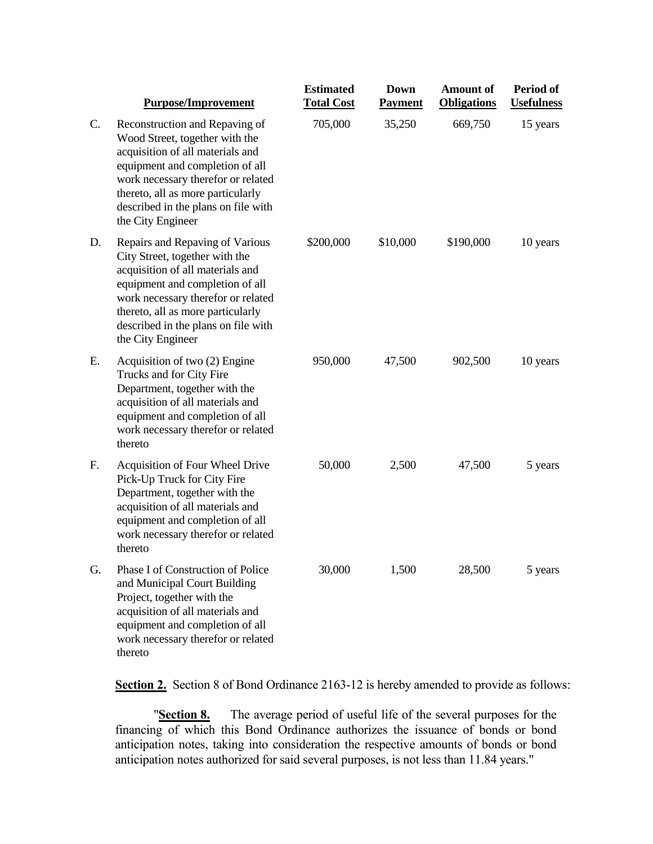|    | <b>Purpose/Improvement</b>                                                                                                                                                                                                                                                      | <b>Estimated</b><br><b>Total Cost</b> | <b>Down</b><br><b>Payment</b> | <b>Amount of</b><br><b>Obligations</b> | Period of<br><b>Usefulness</b> |
|----|---------------------------------------------------------------------------------------------------------------------------------------------------------------------------------------------------------------------------------------------------------------------------------|---------------------------------------|-------------------------------|----------------------------------------|--------------------------------|
| C. | Reconstruction and Repaving of<br>Wood Street, together with the<br>acquisition of all materials and<br>equipment and completion of all<br>work necessary therefor or related<br>thereto, all as more particularly<br>described in the plans on file with<br>the City Engineer  | 705,000                               | 35,250                        | 669,750                                | 15 years                       |
| D. | Repairs and Repaving of Various<br>City Street, together with the<br>acquisition of all materials and<br>equipment and completion of all<br>work necessary therefor or related<br>thereto, all as more particularly<br>described in the plans on file with<br>the City Engineer | \$200,000                             | \$10,000                      | \$190,000                              | 10 years                       |
| Е. | Acquisition of two (2) Engine<br>Trucks and for City Fire<br>Department, together with the<br>acquisition of all materials and<br>equipment and completion of all<br>work necessary therefor or related<br>thereto                                                              | 950,000                               | 47,500                        | 902,500                                | 10 years                       |
| F. | Acquisition of Four Wheel Drive<br>Pick-Up Truck for City Fire<br>Department, together with the<br>acquisition of all materials and<br>equipment and completion of all<br>work necessary therefor or related<br>thereto                                                         | 50,000                                | 2,500                         | 47,500                                 | 5 years                        |
| G. | Phase I of Construction of Police<br>and Municipal Court Building<br>Project, together with the<br>acquisition of all materials and<br>equipment and completion of all<br>work necessary therefor or related<br>thereto                                                         | 30,000                                | 1,500                         | 28,500                                 | 5 years                        |

**Section 2.** Section 8 of Bond Ordinance 2163-12 is hereby amended to provide as follows:

"**Section 8.** The average period of useful life of the several purposes for the financing of which this Bond Ordinance authorizes the issuance of bonds or bond anticipation notes, taking into consideration the respective amounts of bonds or bond anticipation notes authorized for said several purposes, is not less than 11.84 years."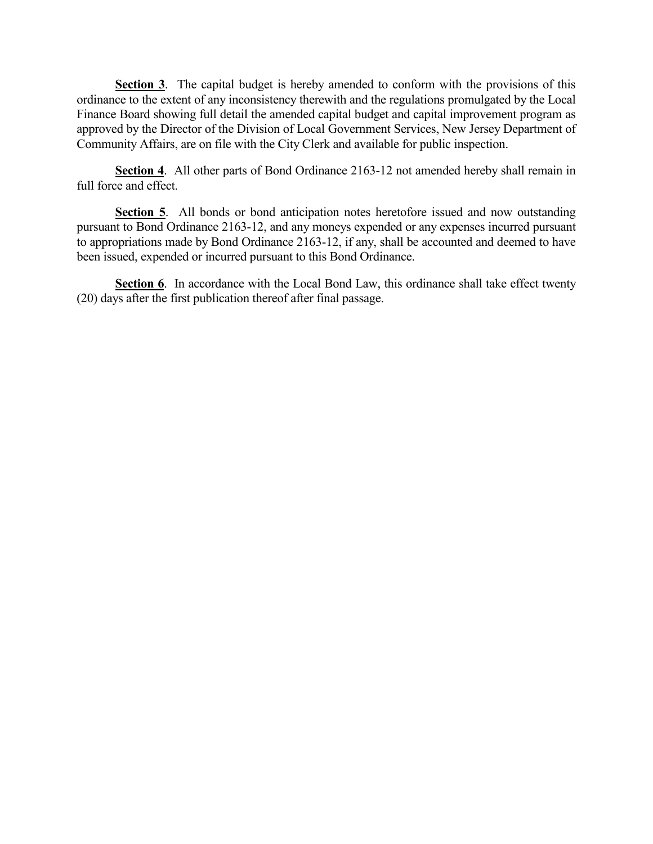**Section 3**. The capital budget is hereby amended to conform with the provisions of this ordinance to the extent of any inconsistency therewith and the regulations promulgated by the Local Finance Board showing full detail the amended capital budget and capital improvement program as approved by the Director of the Division of Local Government Services, New Jersey Department of Community Affairs, are on file with the City Clerk and available for public inspection.

**Section 4**. All other parts of Bond Ordinance 2163-12 not amended hereby shall remain in full force and effect.

**Section 5**. All bonds or bond anticipation notes heretofore issued and now outstanding pursuant to Bond Ordinance 2163-12, and any moneys expended or any expenses incurred pursuant to appropriations made by Bond Ordinance 2163-12, if any, shall be accounted and deemed to have been issued, expended or incurred pursuant to this Bond Ordinance.

**Section 6.** In accordance with the Local Bond Law, this ordinance shall take effect twenty (20) days after the first publication thereof after final passage.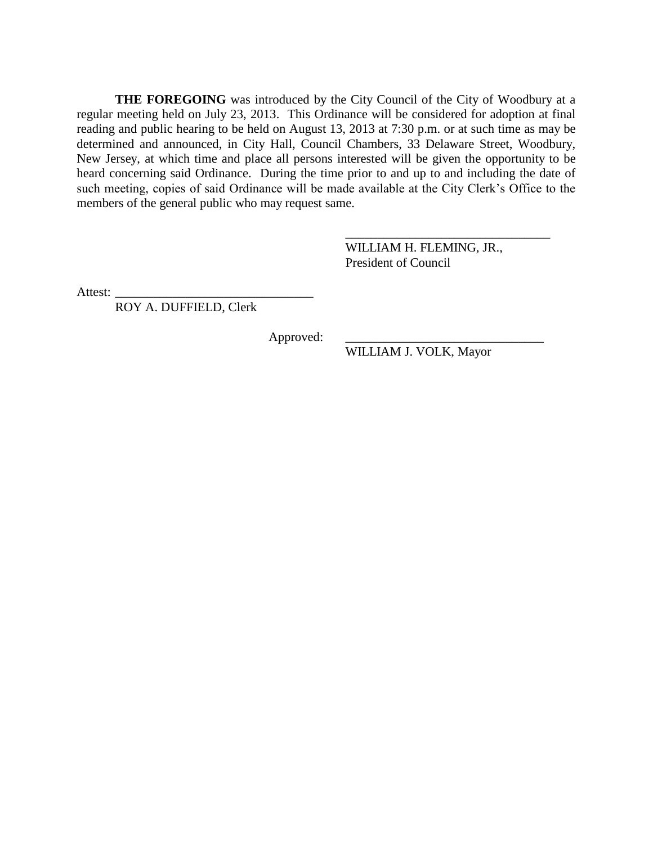**THE FOREGOING** was introduced by the City Council of the City of Woodbury at a regular meeting held on July 23, 2013. This Ordinance will be considered for adoption at final reading and public hearing to be held on August 13, 2013 at 7:30 p.m. or at such time as may be determined and announced, in City Hall, Council Chambers, 33 Delaware Street, Woodbury, New Jersey, at which time and place all persons interested will be given the opportunity to be heard concerning said Ordinance. During the time prior to and up to and including the date of such meeting, copies of said Ordinance will be made available at the City Clerk's Office to the members of the general public who may request same.

> WILLIAM H. FLEMING, JR., President of Council

\_\_\_\_\_\_\_\_\_\_\_\_\_\_\_\_\_\_\_\_\_\_\_\_\_\_\_\_\_\_\_\_

Attest:

ROY A. DUFFIELD, Clerk

Approved:

WILLIAM J. VOLK, Mayor